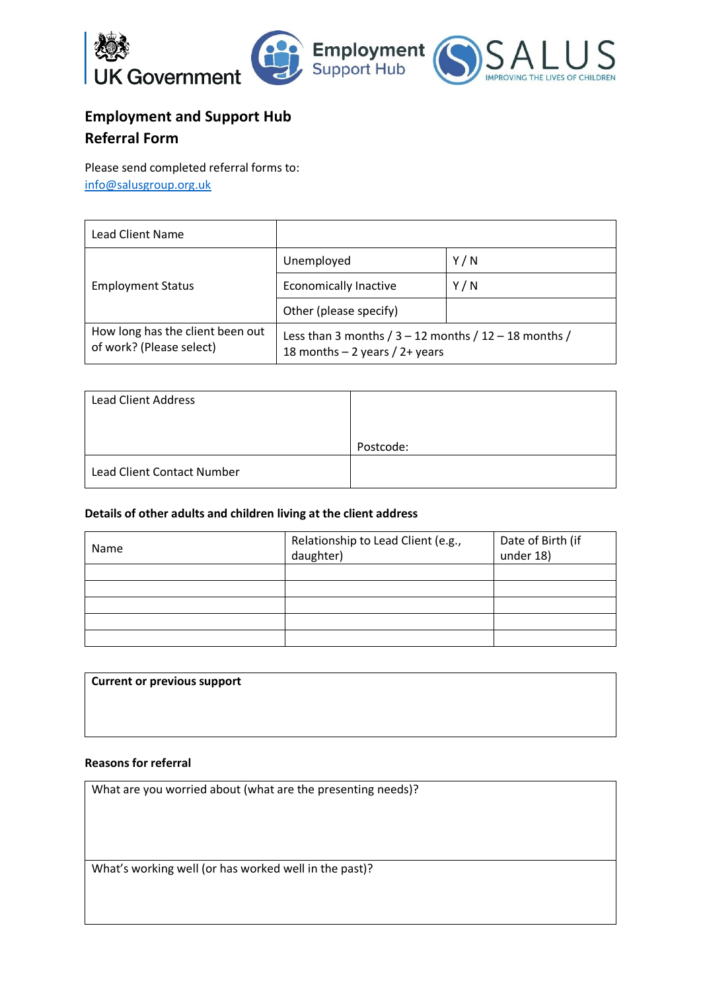

# **Employment and Support Hub Referral Form**

Please send completed referral forms to: [info@salusgroup.org.uk](mailto:info@salusgroup.org.uk)

| <b>Lead Client Name</b>                                      |                                                                                                 |     |
|--------------------------------------------------------------|-------------------------------------------------------------------------------------------------|-----|
| <b>Employment Status</b>                                     | Unemployed                                                                                      | Y/N |
|                                                              | <b>Economically Inactive</b>                                                                    | Y/N |
|                                                              | Other (please specify)                                                                          |     |
| How long has the client been out<br>of work? (Please select) | Less than 3 months $/$ 3 – 12 months $/$ 12 – 18 months $/$<br>18 months $-$ 2 years / 2+ years |     |

| <b>Lead Client Address</b> |           |
|----------------------------|-----------|
|                            | Postcode: |
| Lead Client Contact Number |           |

## **Details of other adults and children living at the client address**

| Name | Relationship to Lead Client (e.g.,<br>daughter) | Date of Birth (if<br>under 18) |
|------|-------------------------------------------------|--------------------------------|
|      |                                                 |                                |
|      |                                                 |                                |
|      |                                                 |                                |
|      |                                                 |                                |
|      |                                                 |                                |

| <b>Current or previous support</b> |  |  |
|------------------------------------|--|--|
|                                    |  |  |
|                                    |  |  |
|                                    |  |  |

#### **Reasons for referral**

What are you worried about (what are the presenting needs)?

What's working well (or has worked well in the past)?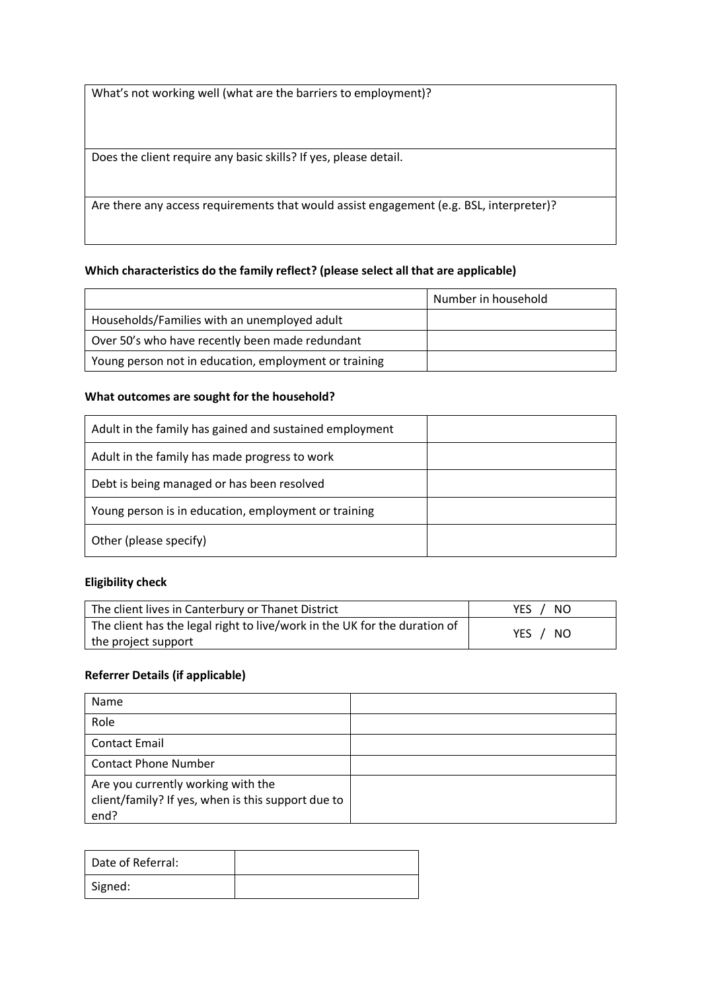What's not working well (what are the barriers to employment)?

Does the client require any basic skills? If yes, please detail.

Are there any access requirements that would assist engagement (e.g. BSL, interpreter)?

#### **Which characteristics do the family reflect? (please select all that are applicable)**

|                                                       | Number in household |
|-------------------------------------------------------|---------------------|
| Households/Families with an unemployed adult          |                     |
| Over 50's who have recently been made redundant       |                     |
| Young person not in education, employment or training |                     |

#### **What outcomes are sought for the household?**

| Adult in the family has gained and sustained employment |  |
|---------------------------------------------------------|--|
| Adult in the family has made progress to work           |  |
| Debt is being managed or has been resolved              |  |
| Young person is in education, employment or training    |  |
| Other (please specify)                                  |  |

#### **Eligibility check**

| The client lives in Canterbury or Thanet District                         | -NO<br>YES. |
|---------------------------------------------------------------------------|-------------|
| The client has the legal right to live/work in the UK for the duration of | YES / NO    |
| the project support                                                       |             |

#### **Referrer Details (if applicable)**

| Name                                                                                             |  |
|--------------------------------------------------------------------------------------------------|--|
| Role                                                                                             |  |
| <b>Contact Email</b>                                                                             |  |
| <b>Contact Phone Number</b>                                                                      |  |
| Are you currently working with the<br>client/family? If yes, when is this support due to<br>end? |  |

| Date of Referral: |  |
|-------------------|--|
| Signed:           |  |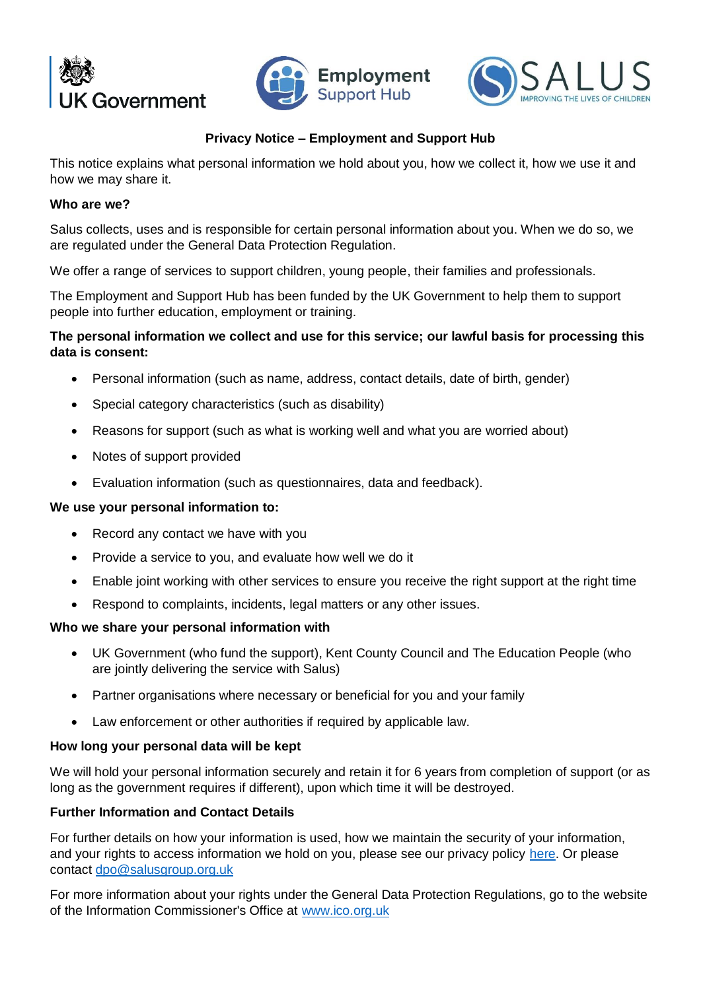





## **Privacy Notice – Employment and Support Hub**

This notice explains what personal information we hold about you, how we collect it, how we use it and how we may share it.

## **Who are we?**

Salus collects, uses and is responsible for certain personal information about you. When we do so, we are regulated under the General Data Protection Regulation.

We offer a range of services to support children, young people, their families and professionals.

The Employment and Support Hub has been funded by the UK Government to help them to support people into further education, employment or training.

## **The personal information we collect and use for this service; our lawful basis for processing this data is consent:**

- Personal information (such as name, address, contact details, date of birth, gender)
- Special category characteristics (such as disability)
- Reasons for support (such as what is working well and what you are worried about)
- Notes of support provided
- Evaluation information (such as questionnaires, data and feedback).

## **We use your personal information to:**

- Record any contact we have with you
- Provide a service to you, and evaluate how well we do it
- Enable joint working with other services to ensure you receive the right support at the right time
- Respond to complaints, incidents, legal matters or any other issues.

## **Who we share your personal information with**

- UK Government (who fund the support), Kent County Council and The Education People (who are jointly delivering the service with Salus)
- Partner organisations where necessary or beneficial for you and your family
- Law enforcement or other authorities if required by applicable law.

## **How long your personal data will be kept**

We will hold your personal information securely and retain it for 6 years from completion of support (or as long as the government requires if different), upon which time it will be destroyed.

## **Further Information and Contact Details**

For further details on how your information is used, how we maintain the security of your information, and your rights to access information we hold on you, please see our privacy policy [here.](http://salusgroup.org.uk/privacy-policy/) Or please contact [dpo@salusgroup.org.uk](mailto:dpo@salusgroup.org.uk)

For more information about your rights under the General Data Protection Regulations, go to the website of the Information Commissioner's Office at [www.ico.org.uk](http://www.ico.org.uk/)